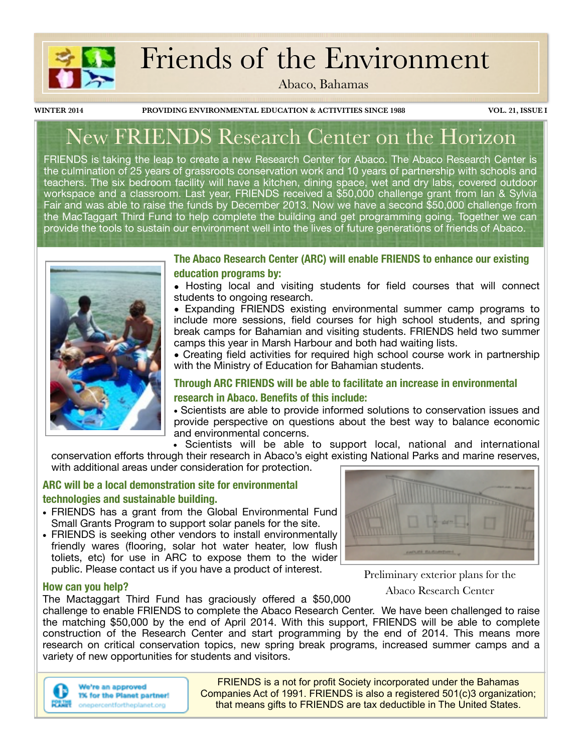

# Friends of the Environment

Abaco, Bahamas

**WINTER 2014 PROVIDING ENVIRONMENTAL EDUCATION & ACTIVITIES SINCE 1988 VOL. 21, ISSUE I**

# New FRIENDS Research Center on the Horizon

FRIENDS is taking the leap to create a new Research Center for Abaco. The Abaco Research Center is the culmination of 25 years of grassroots conservation work and 10 years of partnership with schools and teachers. The six bedroom facility will have a kitchen, dining space, wet and dry labs, covered outdoor workspace and a classroom. Last year, FRIENDS received a \$50,000 challenge grant from lan & Sylvia Fair and was able to raise the funds by December 2013. Now we have a second \$50,000 challenge from the MacTaggart Third Fund to help complete the building and get programming going. Together we can provide the tools to sustain our environment well into the lives of future generations of friends of Abaco.



**The Abaco Research Center (ARC) will enable FRIENDS to enhance our existing education programs by:** 

**•** Hosting local and visiting students for field courses that will connect students to ongoing research.

**•** Expanding FRIENDS existing environmental summer camp programs to include more sessions, field courses for high school students, and spring break camps for Bahamian and visiting students. FRIENDS held two summer camps this year in Marsh Harbour and both had waiting lists.

**•** Creating field activities for required high school course work in partnership with the Ministry of Education for Bahamian students.

### **Through ARC FRIENDS will be able to facilitate an increase in environmental research in Abaco. Benefits of this include:**

**•** Scientists are able to provide informed solutions to conservation issues and provide perspective on questions about the best way to balance economic and environmental concerns.

**•** Scientists will be able to support local, national and international conservation efforts through their research in Abaco's eight existing National Parks and marine reserves, with additional areas under consideration for protection.

### **ARC will be a local demonstration site for environmental technologies and sustainable building.**

- **•** FRIENDS has a grant from the Global Environmental Fund Small Grants Program to support solar panels for the site.
- **•** FRIENDS is seeking other vendors to install environmentally friendly wares (flooring, solar hot water heater, low flush toliets, etc) for use in ARC to expose them to the wider public. Please contact us if you have a product of interest.



Preliminary exterior plans for the Abaco Research Center

### **How can you help?**

The Mactaggart Third Fund has graciously offered a \$50,000

challenge to enable FRIENDS to complete the Abaco Research Center. We have been challenged to raise the matching \$50,000 by the end of April 2014. With this support, FRIENDS will be able to complete construction of the Research Center and start programming by the end of 2014. This means more research on critical conservation topics, new spring break programs, increased summer camps and a variety of new opportunities for students and visitors.



We're an approved 1% for the Planet partner! onepercentfortheplanet.org

FRIENDS is a not for profit Society incorporated under the Bahamas Companies Act of 1991. FRIENDS is also a registered 501(c)3 organization; that means gifts to FRIENDS are tax deductible in The United States.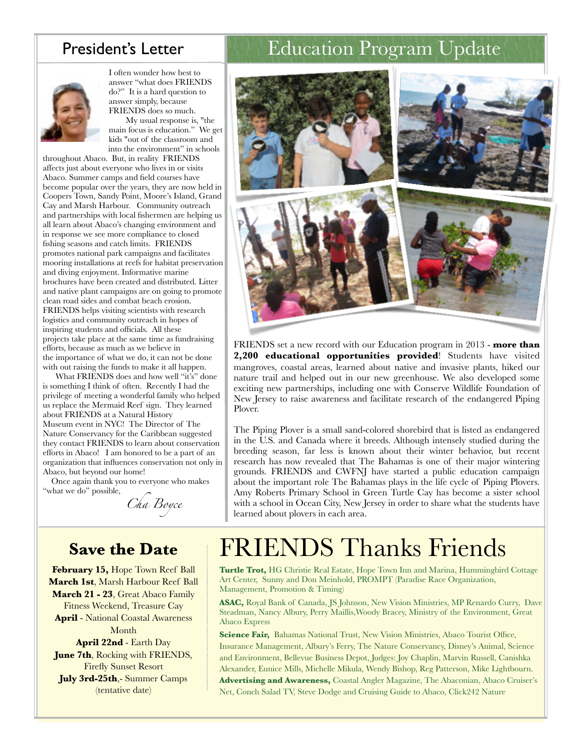

I often wonder how best to answer "what does FRIENDS do?" It is a hard question to answer simply, because FRIENDS does so much.

 My usual response is, "the main focus is education." We get kids "out of the classroom and into the environment" in schools

throughout Abaco. But, in reality FRIENDS affects just about everyone who lives in or visits Abaco. Summer camps and field courses have become popular over the years, they are now held in Coopers Town, Sandy Point, Moore's Island, Grand Cay and Marsh Harbour. Community outreach and partnerships with local fishermen are helping us all learn about Abaco's changing environment and in response we see more compliance to closed fishing seasons and catch limits. FRIENDS promotes national park campaigns and facilitates mooring installations at reefs for habitat preservation and diving enjoyment. Informative marine brochures have been created and distributed. Litter and native plant campaigns are on going to promote clean road sides and combat beach erosion. FRIENDS helps visiting scientists with research logistics and community outreach in hopes of inspiring students and officials. All these projects take place at the same time as fundraising efforts, because as much as we believe in the importance of what we do, it can not be done with out raising the funds to make it all happen.

 What FRIENDS does and how well "it's" done is something I think of often. Recently I had the privilege of meeting a wonderful family who helped us replace the Mermaid Reef sign. They learned about FRIENDS at a Natural History Museum event in NYC! The Director of The Nature Conservancy for the Caribbean suggested they contact FRIENDS to learn about conservation efforts in Abaco! I am honored to be a part of an organization that influences conservation not only in Abaco, but beyond our home!

 Once again thank you to everyone who makes "what we do" possible,

*Cha Boyce*

### **Save the Date**

**February 15,** Hope Town Reef Ball **March 1st**, Marsh Harbour Reef Ball **March 21 - 23**, Great Abaco Family Fitness Weekend, Treasure Cay **April** - National Coastal Awareness Month **April 22nd** - Earth Day **June 7th**, Rocking with FRIENDS, Firefly Sunset Resort

**July 3rd-25th**,- Summer Camps (tentative date)

## President's Letter | Education Program Update



FRIENDS set a new record with our Education program in 2013 - **more than 2,200 educational opportunities provided**! Students have visited mangroves, coastal areas, learned about native and invasive plants, hiked our nature trail and helped out in our new greenhouse. We also developed some exciting new partnerships, including one with Conserve Wildlife Foundation of New Jersey to raise awareness and facilitate research of the endangered Piping Plover.

The Piping Plover is a small sand-colored shorebird that is listed as endangered in the U.S. and Canada where it breeds. Although intensely studied during the breeding season, far less is known about their winter behavior, but recent research has now revealed that The Bahamas is one of their major wintering grounds. FRIENDS and CWFNJ have started a public education campaign about the important role The Bahamas plays in the life cycle of Piping Plovers. Amy Roberts Primary School in Green Turtle Cay has become a sister school with a school in Ocean City, New Jersey in order to share what the students have learned about plovers in each area.

# FRIENDS Thanks Friends

**Turtle Trot,** HG Christie Real Estate, Hope Town Inn and Marina, Hummingbird Cottage Art Center, Sunny and Don Meinhold, PROMPT (Paradise Race Organization, Management, Promotion & Timing)

**ASAC,** Royal Bank of Canada, JS Johnson, New Vision Ministries, MP Renardo Curry, Dave Steadman, Nancy Albury, Perry Maillis,Woody Bracey, Ministry of the Environment, Great Abaco Express

**Science Fair,** Bahamas National Trust, New Vision Ministries, Abaco Tourist Office, Insurance Management, Albury's Ferry, The Nature Conservancy, Disney's Animal, Science and Environment, Bellevue Business Depot, Judges: Joy Chaplin, Marvin Russell, Canishka Alexander, Eunice Mills, Michelle Mikula, Wendy Bishop, Reg Patterson, Mike Lightbourn. **Advertising and Awareness,** Coastal Angler Magazine, The Abaconian, Abaco Cruiser's Net, Conch Salad TV, Steve Dodge and Cruising Guide to Abaco, Click242 Nature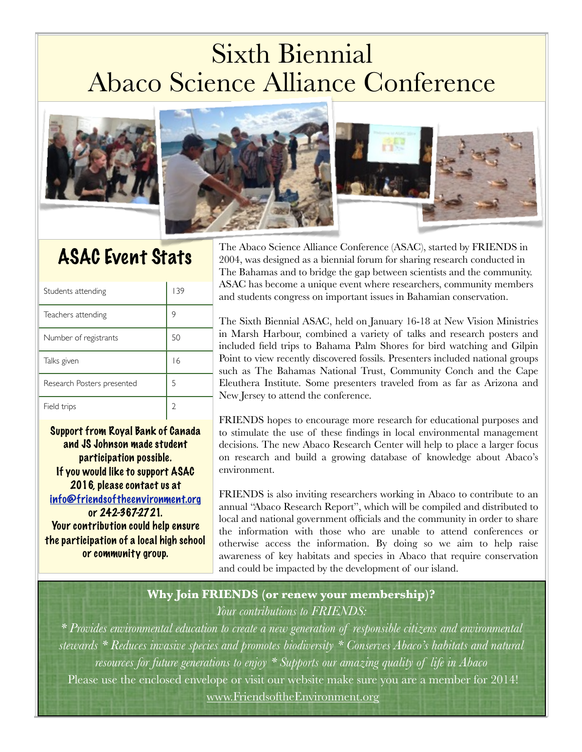# Sixth Biennial Abaco Science Alliance Conference



# ASAC Event Stats

| Students attending         | 139 |
|----------------------------|-----|
| Teachers attending         | 9   |
| Number of registrants      | 50  |
| Talks given                | 16  |
| Research Posters presented | 5   |
| Field trips                |     |

Support from Royal Bank of Canada and JS Johnson made student participation possible. If you would like to support ASAC 2016, please contact us at [info@friendsoftheenvironment.org](mailto:info@friendsoftheenvironment.org) or 242-367-2721. Your contribution could help ensure the participation of a local high school or community group.



The Abaco Science Alliance Conference (ASAC), started by FRIENDS in 2004, was designed as a biennial forum for sharing research conducted in The Bahamas and to bridge the gap between scientists and the community. ASAC has become a unique event where researchers, community members and students congress on important issues in Bahamian conservation.

The Sixth Biennial ASAC, held on January 16-18 at New Vision Ministries in Marsh Harbour, combined a variety of talks and research posters and included field trips to Bahama Palm Shores for bird watching and Gilpin Point to view recently discovered fossils. Presenters included national groups such as The Bahamas National Trust, Community Conch and the Cape Eleuthera Institute. Some presenters traveled from as far as Arizona and - New Jersey to attend the conference.

FRIENDS hopes to encourage more research for educational purposes and to stimulate the use of these findings in local environmental management decisions. The new Abaco Research Center will help to place a larger focus on research and build a growing database of knowledge about Abaco's environment.

FRIENDS is also inviting researchers working in Abaco to contribute to an annual "Abaco Research Report", which will be compiled and distributed to local and national government officials and the community in order to share the information with those who are unable to attend conferences or otherwise access the information. By doing so we aim to help raise awareness of key habitats and species in Abaco that require conservation and could be impacted by the development of our island.

### **Why Join FRIENDS (or renew your membership)?** *Your contributions to FRIENDS:*

*\* Provides environmental education to create a new generation of responsible citizens and environmental stewards \* Reduces invasive species and promotes biodiversity \* Conserves Abaco's habitats and natural resources for future generations to enjoy \* Supports our amazing quality of life in Abaco*  Please use the enclosed envelope or visit our website make sure you are a member for 2014! [www.FriendsoftheEnvironment.org](http://www.FriendsoftheEnvironment.o)